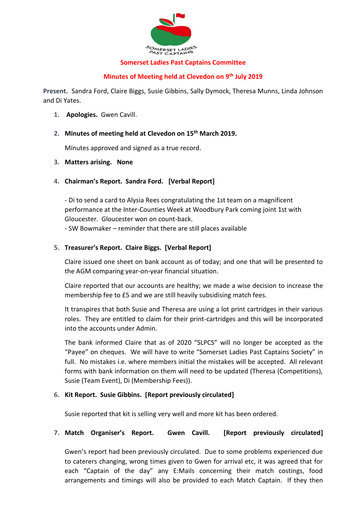

#### **Somerset Ladies Past Captains Committee**

#### **Minutes of Meeting held at Clevedon on 9th July 2019**

**Present.** Sandra Ford, Claire Biggs, Susie Gibbins, Sally Dymock, Theresa Munns, Linda Johnson and Di Yates.

- **1. Apologies.** Gwen Cavill.
- **2. Minutes of meeting held at Clevedon on 15th March 2019.**

Minutes approved and signed as a true record.

- **3. Matters arising. None**
- **4. Chairman's Report. Sandra Ford. [Verbal Report]**

- Di to send a card to Alysia Rees congratulating the 1st team on a magnificent performance at the Inter-Counties Week at Woodbury Park coming joint 1st with Gloucester. Gloucester won on count-back.

- SW Bowmaker – reminder that there are still places available

## **5. Treasurer's Report. Claire Biggs. [Verbal Report]**

Claire issued one sheet on bank account as of today; and one that will be presented to the AGM comparing year-on-year financial situation.

Claire reported that our accounts are healthy; we made a wise decision to increase the membership fee to £5 and we are still heavily subsidising match fees.

It transpires that both Susie and Theresa are using a lot print cartridges in their various roles. They are entitled to claim for their print-cartridges and this will be incorporated into the accounts under Admin.

The bank informed Claire that as of 2020 "SLPCS" will no longer be accepted as the "Payee" on cheques. We will have to write "Somerset Ladies Past Captains Society" in full. No mistakes i.e. where members initial the mistakes will be accepted. All relevant forms with bank information on them will need to be updated (Theresa (Competitions), Susie (Team Event), Di (Membership Fees)).

## **6. Kit Report. Susie Gibbins. [Report previously circulated]**

Susie reported that kit is selling very well and more kit has been ordered.

## **7. Match Organiser's Report. Gwen Cavill. [Report previously circulated]**

Gwen's report had been previously circulated. Due to some problems experienced due to caterers changing, wrong times given to Gwen for arrival etc, it was agreed that for each "Captain of the day" any E:Mails concerning their match costings, food arrangements and timings will also be provided to each Match Captain. If they then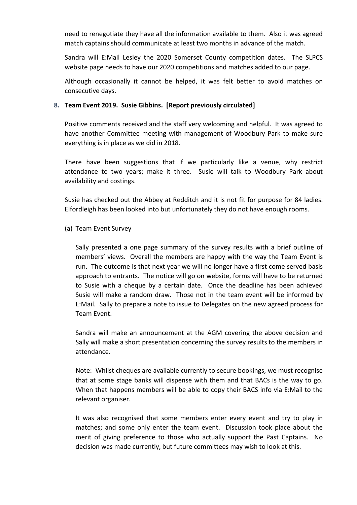need to renegotiate they have all the information available to them. Also it was agreed match captains should communicate at least two months in advance of the match.

Sandra will E:Mail Lesley the 2020 Somerset County competition dates. The SLPCS website page needs to have our 2020 competitions and matches added to our page.

Although occasionally it cannot be helped, it was felt better to avoid matches on consecutive days.

#### **8. Team Event 2019. Susie Gibbins. [Report previously circulated]**

Positive comments received and the staff very welcoming and helpful. It was agreed to have another Committee meeting with management of Woodbury Park to make sure everything is in place as we did in 2018.

There have been suggestions that if we particularly like a venue, why restrict attendance to two years; make it three. Susie will talk to Woodbury Park about availability and costings.

Susie has checked out the Abbey at Redditch and it is not fit for purpose for 84 ladies. Elfordleigh has been looked into but unfortunately they do not have enough rooms.

## (a) Team Event Survey

Sally presented a one page summary of the survey results with a brief outline of members' views. Overall the members are happy with the way the Team Event is run. The outcome is that next year we will no longer have a first come served basis approach to entrants. The notice will go on website, forms will have to be returned to Susie with a cheque by a certain date. Once the deadline has been achieved Susie will make a random draw. Those not in the team event will be informed by E:Mail. Sally to prepare a note to issue to Delegates on the new agreed process for Team Event.

Sandra will make an announcement at the AGM covering the above decision and Sally will make a short presentation concerning the survey results to the members in attendance.

Note: Whilst cheques are available currently to secure bookings, we must recognise that at some stage banks will dispense with them and that BACs is the way to go. When that happens members will be able to copy their BACS info via E:Mail to the relevant organiser.

It was also recognised that some members enter every event and try to play in matches; and some only enter the team event. Discussion took place about the merit of giving preference to those who actually support the Past Captains. No decision was made currently, but future committees may wish to look at this.